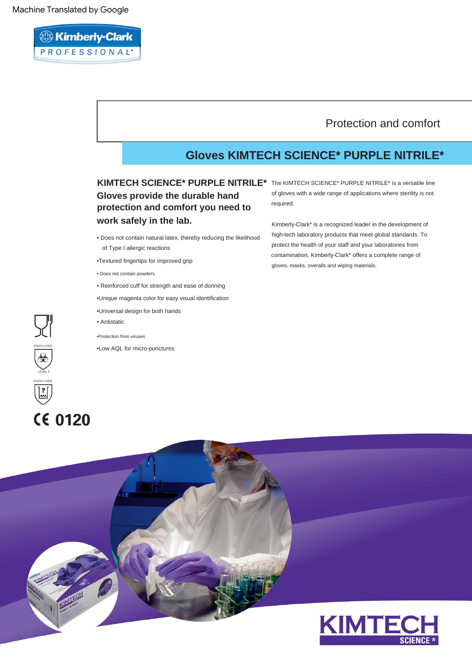# <sup>23</sup> Kimberly-Clark PROFESSIONAL\*

## Protection and comfort

## **Gloves KIMTECH SCIENCE\* PURPLE NITRILE\***

**Gloves provide the durable hand protection and comfort you need to work safely in the lab.**

- Does not contain natural latex, thereby reducing the likelihood of Type I allergic reactions
- •Textured fingertips for improved grip
- Does not contain powders
- Reinforced cuff for strength and ease of donning
- •Unique magenta color for easy visual identification
- •Universal design for both hands
- Antistatic
- •Protection from viruses
- •Low AQL for micro-punctures

KIMTECH SCIENCE\* PURPLE NITRILE<sup>\*</sup> The KIMTECH SCIENCE\* PURPLE NITRILE\* is a versatile line of gloves with a wide range of applications where sterility is not required.

> gloves, masks, overalls and wiping materials. Kimberly-Clark\* is a recognized leader in the development of high-tech laboratory products that meet global standards. To protect the health of your staff and your laboratories from contamination, Kimberly-Clark\* offers a complete range of

# $\begin{bmatrix} 2 \\ 3 \end{bmatrix}$ **CE 0120**

EN374-2:2003

돼

LEVEL 3